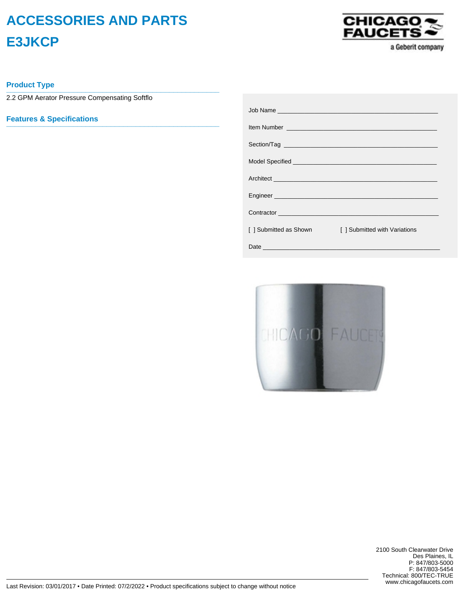## **ACCESSORIES AND PARTS E3JKCP**



a Geberit company

**Product Type \_\_\_\_\_\_\_\_\_\_\_\_\_\_\_\_\_\_\_\_\_\_\_\_\_\_\_\_\_\_\_\_\_\_\_\_\_\_\_\_\_\_\_\_\_\_\_\_\_\_\_**

2.2 GPM Aerator Pressure Compensating Softflo

**Features & Specifications \_\_\_\_\_\_\_\_\_\_\_\_\_\_\_\_\_\_\_\_\_\_\_\_\_\_\_\_\_\_\_\_\_\_\_\_\_\_\_\_\_\_\_\_\_\_\_\_\_\_\_**

|                        | Engineer engineer and the contract of the contract of the contract of the contract of the contract of the contract of |
|------------------------|-----------------------------------------------------------------------------------------------------------------------|
|                        | Contractor Contractor Contractor Contractor Contractor Contractor Contractor Contractor Contractor Contractor         |
| [ ] Submitted as Shown | [ ] Submitted with Variations                                                                                         |
|                        |                                                                                                                       |